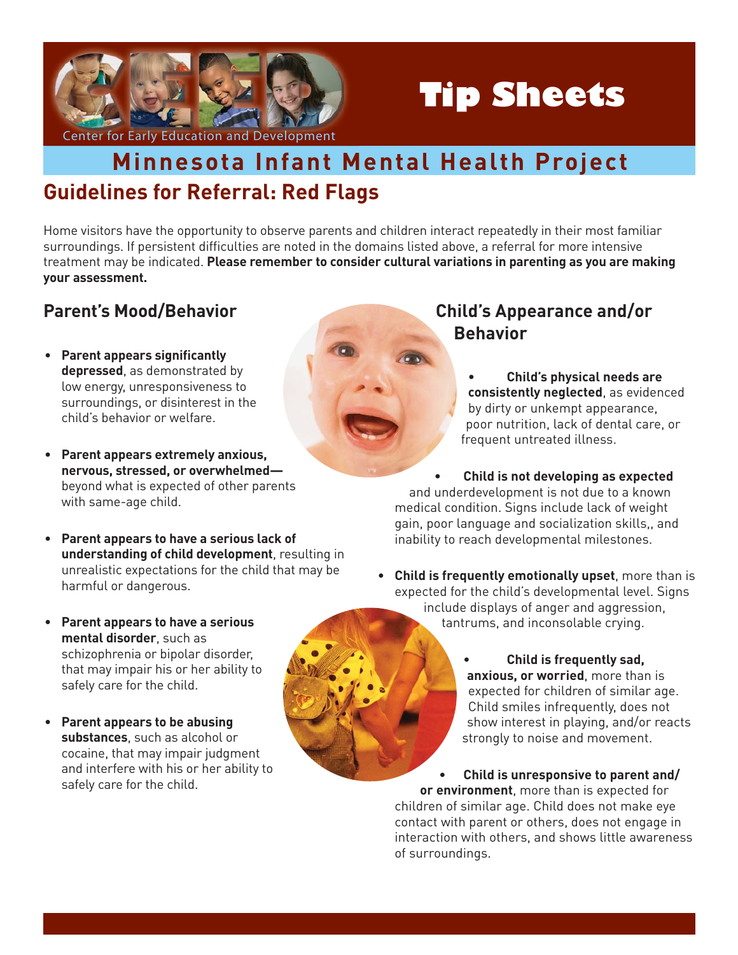

# **Tip Sheets**

## **Guidelines for Referral: Red Flags Minnesota Infant Mental Health Project**

Home visitors have the opportunity to observe parents and children interact repeatedly in their most familiar surroundings. If persistent difficulties are noted in the domains listed above, a referral for more intensive treatment may be indicated. **Please remember to consider cultural variations in parenting as you are making your assessment.**

### **Parent's Mood/Behavior**

- **Parent appears significantly depressed**, as demonstrated by low energy, unresponsiveness to surroundings, or disinterest in the child's behavior or welfare.
- **Parent appears extremely anxious, nervous, stressed, or overwhelmed** beyond what is expected of other parents with same-age child.
- **Parent appears to have a serious lack of understanding of child development**, resulting in unrealistic expectations for the child that may be harmful or dangerous.
- **Parent appears to have a serious mental disorder**, such as schizophrenia or bipolar disorder, that may impair his or her ability to safely care for the child.
- **Parent appears to be abusing substances**, such as alcohol or cocaine, that may impair judgment and interfere with his or her ability to safely care for the child.

#### **Child's Appearance and/or Behavior**

- **Child's physical needs are consistently neglected**, as evidenced by dirty or unkempt appearance, poor nutrition, lack of dental care, or frequent untreated illness.
- **Child is not developing as expected**  and underdevelopment is not due to a known medical condition. Signs include lack of weight gain, poor language and socialization skills,, and inability to reach developmental milestones.
- **Child is frequently emotionally upset**, more than is expected for the child's developmental level. Signs include displays of anger and aggression, tantrums, and inconsolable crying.
	- **Child is frequently sad, anxious, or worried**, more than is expected for children of similar age. Child smiles infrequently, does not show interest in playing, and/or reacts strongly to noise and movement.

**• Child is unresponsive to parent and/ or environment**, more than is expected for children of similar age. Child does not make eye contact with parent or others, does not engage in interaction with others, and shows little awareness of surroundings.